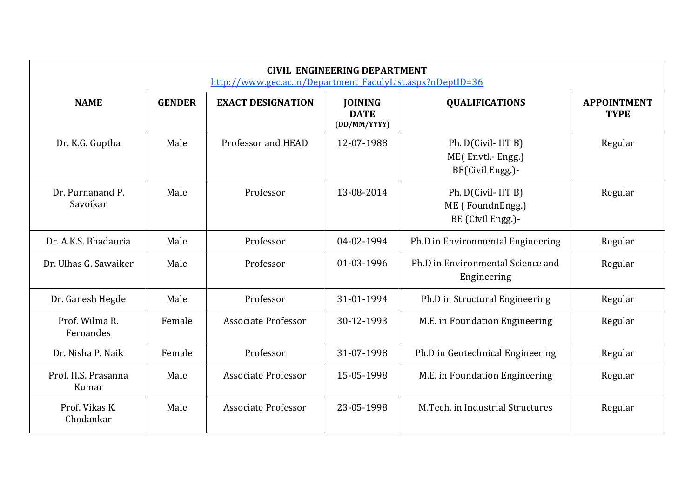| <b>CIVIL ENGINEERING DEPARTMENT</b><br>http://www.gec.ac.in/Department FaculyList.aspx?nDeptID=36 |               |                            |                                               |                                                              |                                   |  |
|---------------------------------------------------------------------------------------------------|---------------|----------------------------|-----------------------------------------------|--------------------------------------------------------------|-----------------------------------|--|
| <b>NAME</b>                                                                                       | <b>GENDER</b> | <b>EXACT DESIGNATION</b>   | <b>JOINING</b><br><b>DATE</b><br>(DD/MM/YYYY) | <b>QUALIFICATIONS</b>                                        | <b>APPOINTMENT</b><br><b>TYPE</b> |  |
| Dr. K.G. Guptha                                                                                   | Male          | Professor and HEAD         | 12-07-1988                                    | Ph. D(Civil- IIT B)<br>ME(Envtl.-Engg.)<br>BE(Civil Engg.)-  | Regular                           |  |
| Dr. Purnanand P.<br>Savoikar                                                                      | Male          | Professor                  | 13-08-2014                                    | Ph. D(Civil- IIT B)<br>ME (FoundnEngg.)<br>BE (Civil Engg.)- | Regular                           |  |
| Dr. A.K.S. Bhadauria                                                                              | Male          | Professor                  | 04-02-1994                                    | Ph.D in Environmental Engineering                            | Regular                           |  |
| Dr. Ulhas G. Sawaiker                                                                             | Male          | Professor                  | 01-03-1996                                    | Ph.D in Environmental Science and<br>Engineering             | Regular                           |  |
| Dr. Ganesh Hegde                                                                                  | Male          | Professor                  | 31-01-1994                                    | Ph.D in Structural Engineering                               | Regular                           |  |
| Prof. Wilma R.<br>Fernandes                                                                       | Female        | <b>Associate Professor</b> | 30-12-1993                                    | M.E. in Foundation Engineering                               | Regular                           |  |
| Dr. Nisha P. Naik                                                                                 | Female        | Professor                  | 31-07-1998                                    | Ph.D in Geotechnical Engineering                             | Regular                           |  |
| Prof. H.S. Prasanna<br>Kumar                                                                      | Male          | <b>Associate Professor</b> | 15-05-1998                                    | M.E. in Foundation Engineering                               | Regular                           |  |
| Prof. Vikas K.<br>Chodankar                                                                       | Male          | <b>Associate Professor</b> | 23-05-1998                                    | M.Tech. in Industrial Structures                             | Regular                           |  |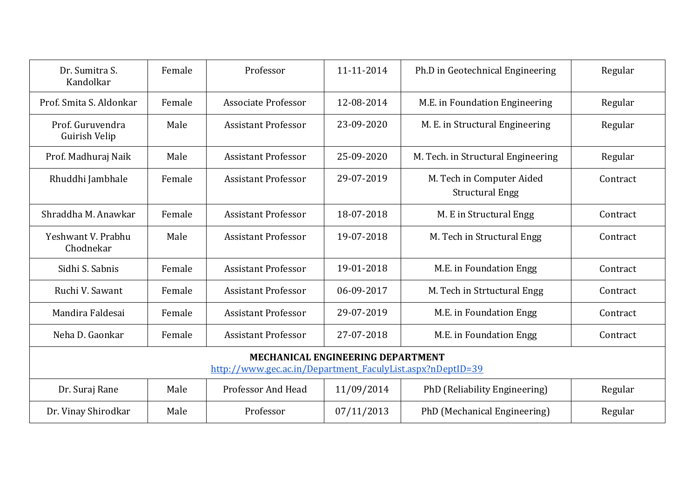| Dr. Sumitra S.<br>Kandolkar                                                                            | Female | Professor                  | 11-11-2014 | Ph.D in Geotechnical Engineering                    | Regular  |  |  |
|--------------------------------------------------------------------------------------------------------|--------|----------------------------|------------|-----------------------------------------------------|----------|--|--|
| Prof. Smita S. Aldonkar                                                                                | Female | <b>Associate Professor</b> | 12-08-2014 | M.E. in Foundation Engineering                      | Regular  |  |  |
| Prof. Guruvendra<br>Guirish Velip                                                                      | Male   | <b>Assistant Professor</b> | 23-09-2020 | M. E. in Structural Engineering                     | Regular  |  |  |
| Prof. Madhuraj Naik                                                                                    | Male   | <b>Assistant Professor</b> | 25-09-2020 | M. Tech. in Structural Engineering                  | Regular  |  |  |
| Rhuddhi Jambhale                                                                                       | Female | <b>Assistant Professor</b> | 29-07-2019 | M. Tech in Computer Aided<br><b>Structural Engg</b> | Contract |  |  |
| Shraddha M. Anawkar                                                                                    | Female | <b>Assistant Professor</b> | 18-07-2018 | M. E in Structural Engg                             | Contract |  |  |
| Yeshwant V. Prabhu<br>Chodnekar                                                                        | Male   | <b>Assistant Professor</b> | 19-07-2018 | M. Tech in Structural Engg                          | Contract |  |  |
| Sidhi S. Sabnis                                                                                        | Female | <b>Assistant Professor</b> | 19-01-2018 | M.E. in Foundation Engg                             | Contract |  |  |
| Ruchi V. Sawant                                                                                        | Female | <b>Assistant Professor</b> | 06-09-2017 | M. Tech in Strtuctural Engg                         | Contract |  |  |
| Mandira Faldesai                                                                                       | Female | <b>Assistant Professor</b> | 29-07-2019 | M.E. in Foundation Engg                             | Contract |  |  |
| Neha D. Gaonkar                                                                                        | Female | <b>Assistant Professor</b> | 27-07-2018 | M.E. in Foundation Engg                             | Contract |  |  |
| <b>MECHANICAL ENGINEERING DEPARTMENT</b><br>http://www.gec.ac.in/Department FaculyList.aspx?nDeptID=39 |        |                            |            |                                                     |          |  |  |
| Dr. Suraj Rane                                                                                         | Male   | <b>Professor And Head</b>  | 11/09/2014 | PhD (Reliability Engineering)                       | Regular  |  |  |
| Dr. Vinay Shirodkar                                                                                    | Male   | Professor                  | 07/11/2013 | PhD (Mechanical Engineering)                        | Regular  |  |  |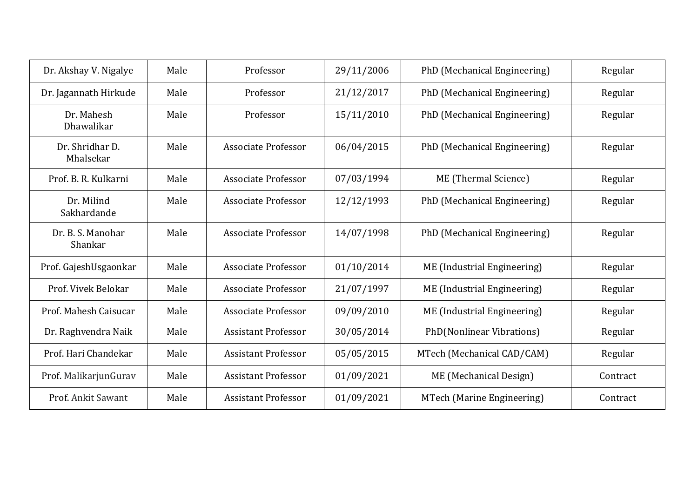| Dr. Akshay V. Nigalye        | Male | Professor                  | 29/11/2006 | PhD (Mechanical Engineering) | Regular  |
|------------------------------|------|----------------------------|------------|------------------------------|----------|
| Dr. Jagannath Hirkude        | Male | Professor                  | 21/12/2017 | PhD (Mechanical Engineering) | Regular  |
| Dr. Mahesh<br>Dhawalikar     | Male | Professor                  | 15/11/2010 | PhD (Mechanical Engineering) | Regular  |
| Dr. Shridhar D.<br>Mhalsekar | Male | <b>Associate Professor</b> | 06/04/2015 | PhD (Mechanical Engineering) | Regular  |
| Prof. B. R. Kulkarni         | Male | Associate Professor        | 07/03/1994 | ME (Thermal Science)         | Regular  |
| Dr. Milind<br>Sakhardande    | Male | <b>Associate Professor</b> | 12/12/1993 | PhD (Mechanical Engineering) | Regular  |
| Dr. B. S. Manohar<br>Shankar | Male | <b>Associate Professor</b> | 14/07/1998 | PhD (Mechanical Engineering) | Regular  |
| Prof. GajeshUsgaonkar        | Male | <b>Associate Professor</b> | 01/10/2014 | ME (Industrial Engineering)  | Regular  |
| Prof. Vivek Belokar          | Male | <b>Associate Professor</b> | 21/07/1997 | ME (Industrial Engineering)  | Regular  |
| Prof. Mahesh Caisucar        | Male | Associate Professor        | 09/09/2010 | ME (Industrial Engineering)  | Regular  |
| Dr. Raghvendra Naik          | Male | <b>Assistant Professor</b> | 30/05/2014 | PhD(Nonlinear Vibrations)    | Regular  |
| Prof. Hari Chandekar         | Male | <b>Assistant Professor</b> | 05/05/2015 | MTech (Mechanical CAD/CAM)   | Regular  |
| Prof. MalikarjunGurav        | Male | <b>Assistant Professor</b> | 01/09/2021 | ME (Mechanical Design)       | Contract |
| Prof. Ankit Sawant           | Male | <b>Assistant Professor</b> | 01/09/2021 | MTech (Marine Engineering)   | Contract |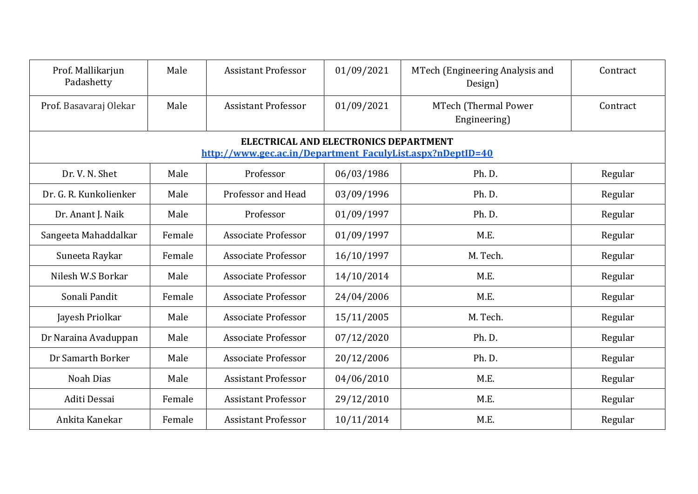| Prof. Mallikarjun<br>Padashetty                                                                            | Male   | <b>Assistant Professor</b> | 01/09/2021 | MTech (Engineering Analysis and<br>Design) | Contract |  |  |  |
|------------------------------------------------------------------------------------------------------------|--------|----------------------------|------------|--------------------------------------------|----------|--|--|--|
| Prof. Basavaraj Olekar                                                                                     | Male   | <b>Assistant Professor</b> | 01/09/2021 | MTech (Thermal Power<br>Engineering)       | Contract |  |  |  |
| <b>ELECTRICAL AND ELECTRONICS DEPARTMENT</b><br>http://www.gec.ac.in/Department_FaculyList.aspx?nDeptID=40 |        |                            |            |                                            |          |  |  |  |
| Dr. V. N. Shet                                                                                             | Male   | Professor                  | 06/03/1986 | Ph.D.                                      | Regular  |  |  |  |
| Dr. G. R. Kunkolienker                                                                                     | Male   | Professor and Head         | 03/09/1996 | Ph. D.                                     | Regular  |  |  |  |
| Dr. Anant J. Naik                                                                                          | Male   | Professor                  | 01/09/1997 | Ph. D.                                     | Regular  |  |  |  |
| Sangeeta Mahaddalkar                                                                                       | Female | <b>Associate Professor</b> | 01/09/1997 | M.E.                                       | Regular  |  |  |  |
| Suneeta Raykar                                                                                             | Female | <b>Associate Professor</b> | 16/10/1997 | M. Tech.                                   | Regular  |  |  |  |
| Nilesh W.S Borkar                                                                                          | Male   | <b>Associate Professor</b> | 14/10/2014 | M.E.                                       | Regular  |  |  |  |
| Sonali Pandit                                                                                              | Female | <b>Associate Professor</b> | 24/04/2006 | M.E.                                       | Regular  |  |  |  |
| Jayesh Priolkar                                                                                            | Male   | <b>Associate Professor</b> | 15/11/2005 | M. Tech.                                   | Regular  |  |  |  |
| Dr Naraina Avaduppan                                                                                       | Male   | <b>Associate Professor</b> | 07/12/2020 | Ph.D.                                      | Regular  |  |  |  |
| Dr Samarth Borker                                                                                          | Male   | Associate Professor        | 20/12/2006 | Ph. D.                                     | Regular  |  |  |  |
| <b>Noah Dias</b>                                                                                           | Male   | <b>Assistant Professor</b> | 04/06/2010 | M.E.                                       | Regular  |  |  |  |
| Aditi Dessai                                                                                               | Female | <b>Assistant Professor</b> | 29/12/2010 | M.E.                                       | Regular  |  |  |  |
| Ankita Kanekar                                                                                             | Female | <b>Assistant Professor</b> | 10/11/2014 | M.E.                                       | Regular  |  |  |  |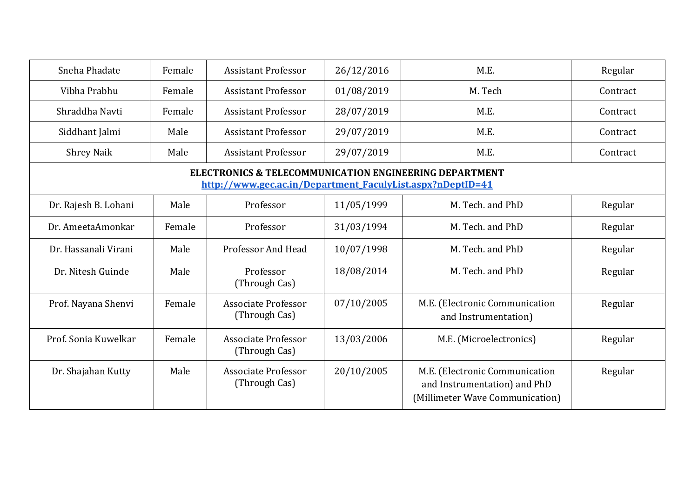| Sneha Phadate                                                                                                                   | Female | <b>Assistant Professor</b>           | 26/12/2016 | M.E.                                                                                              | Regular  |  |  |
|---------------------------------------------------------------------------------------------------------------------------------|--------|--------------------------------------|------------|---------------------------------------------------------------------------------------------------|----------|--|--|
| Vibha Prabhu                                                                                                                    | Female | <b>Assistant Professor</b>           | 01/08/2019 | M. Tech                                                                                           | Contract |  |  |
| Shraddha Navti                                                                                                                  | Female | <b>Assistant Professor</b>           | 28/07/2019 | M.E.                                                                                              | Contract |  |  |
| Siddhant Jalmi                                                                                                                  | Male   | <b>Assistant Professor</b>           | 29/07/2019 | M.E.                                                                                              | Contract |  |  |
| <b>Shrey Naik</b>                                                                                                               | Male   | <b>Assistant Professor</b>           | 29/07/2019 | M.E.                                                                                              | Contract |  |  |
| <b>ELECTRONICS &amp; TELECOMMUNICATION ENGINEERING DEPARTMENT</b><br>http://www.gec.ac.in/Department FaculyList.aspx?nDeptID=41 |        |                                      |            |                                                                                                   |          |  |  |
| Dr. Rajesh B. Lohani                                                                                                            | Male   | Professor                            | 11/05/1999 | M. Tech. and PhD                                                                                  | Regular  |  |  |
| Dr. AmeetaAmonkar                                                                                                               | Female | Professor                            | 31/03/1994 | M. Tech. and PhD                                                                                  | Regular  |  |  |
| Dr. Hassanali Virani                                                                                                            | Male   | <b>Professor And Head</b>            | 10/07/1998 | M. Tech. and PhD                                                                                  | Regular  |  |  |
| Dr. Nitesh Guinde                                                                                                               | Male   | Professor<br>(Through Cas)           | 18/08/2014 | M. Tech. and PhD                                                                                  | Regular  |  |  |
| Prof. Nayana Shenvi                                                                                                             | Female | Associate Professor<br>(Through Cas) | 07/10/2005 | M.E. (Electronic Communication<br>and Instrumentation)                                            | Regular  |  |  |
| Prof. Sonia Kuwelkar                                                                                                            | Female | Associate Professor<br>(Through Cas) | 13/03/2006 | M.E. (Microelectronics)                                                                           | Regular  |  |  |
| Dr. Shajahan Kutty                                                                                                              | Male   | Associate Professor<br>(Through Cas) | 20/10/2005 | M.E. (Electronic Communication<br>and Instrumentation) and PhD<br>(Millimeter Wave Communication) | Regular  |  |  |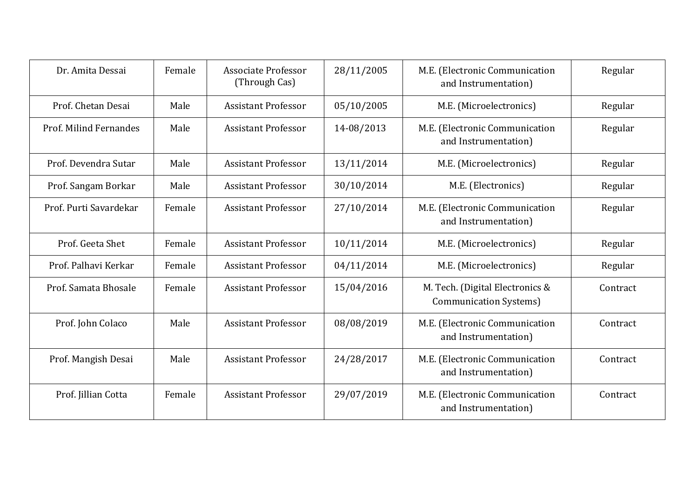| Dr. Amita Dessai       | Female | Associate Professor<br>(Through Cas) | 28/11/2005 | M.E. (Electronic Communication<br>and Instrumentation)           | Regular  |
|------------------------|--------|--------------------------------------|------------|------------------------------------------------------------------|----------|
| Prof. Chetan Desai     | Male   | <b>Assistant Professor</b>           | 05/10/2005 | M.E. (Microelectronics)                                          | Regular  |
| Prof. Milind Fernandes | Male   | <b>Assistant Professor</b>           | 14-08/2013 | M.E. (Electronic Communication<br>and Instrumentation)           | Regular  |
| Prof. Devendra Sutar   | Male   | <b>Assistant Professor</b>           | 13/11/2014 | M.E. (Microelectronics)                                          | Regular  |
| Prof. Sangam Borkar    | Male   | <b>Assistant Professor</b>           | 30/10/2014 | M.E. (Electronics)                                               | Regular  |
| Prof. Purti Savardekar | Female | <b>Assistant Professor</b>           | 27/10/2014 | M.E. (Electronic Communication<br>and Instrumentation)           | Regular  |
| Prof. Geeta Shet       | Female | <b>Assistant Professor</b>           | 10/11/2014 | M.E. (Microelectronics)                                          | Regular  |
| Prof. Palhavi Kerkar   | Female | <b>Assistant Professor</b>           | 04/11/2014 | M.E. (Microelectronics)                                          | Regular  |
| Prof. Samata Bhosale   | Female | <b>Assistant Professor</b>           | 15/04/2016 | M. Tech. (Digital Electronics &<br><b>Communication Systems)</b> | Contract |
| Prof. John Colaco      | Male   | <b>Assistant Professor</b>           | 08/08/2019 | M.E. (Electronic Communication<br>and Instrumentation)           | Contract |
| Prof. Mangish Desai    | Male   | <b>Assistant Professor</b>           | 24/28/2017 | M.E. (Electronic Communication<br>and Instrumentation)           | Contract |
| Prof. Jillian Cotta    | Female | <b>Assistant Professor</b>           | 29/07/2019 | M.E. (Electronic Communication<br>and Instrumentation)           | Contract |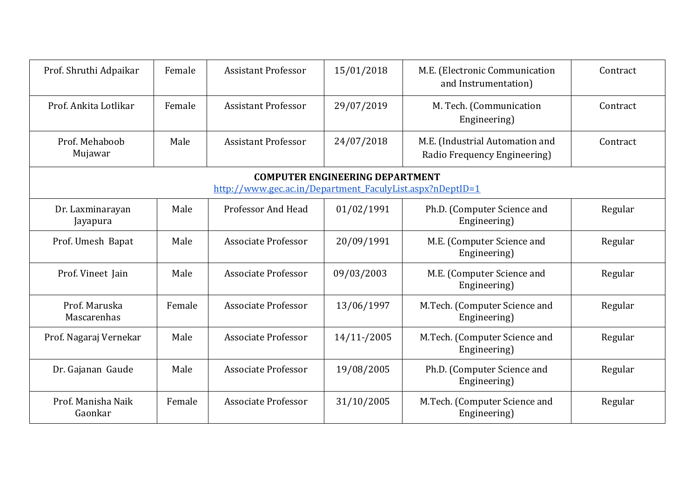| Prof. Shruthi Adpaikar        | Female                                 | <b>Assistant Professor</b>                                | 15/01/2018  | M.E. (Electronic Communication<br>and Instrumentation)          | Contract |  |  |  |
|-------------------------------|----------------------------------------|-----------------------------------------------------------|-------------|-----------------------------------------------------------------|----------|--|--|--|
| Prof. Ankita Lotlikar         | Female                                 | <b>Assistant Professor</b>                                | 29/07/2019  | M. Tech. (Communication<br>Engineering)                         | Contract |  |  |  |
| Prof. Mehaboob<br>Mujawar     | Male                                   | <b>Assistant Professor</b>                                | 24/07/2018  | M.E. (Industrial Automation and<br>Radio Frequency Engineering) | Contract |  |  |  |
|                               | <b>COMPUTER ENGINEERING DEPARTMENT</b> |                                                           |             |                                                                 |          |  |  |  |
|                               |                                        | http://www.gec.ac.in/Department FaculyList.aspx?nDeptID=1 |             |                                                                 |          |  |  |  |
| Dr. Laxminarayan<br>Jayapura  | Male                                   | <b>Professor And Head</b>                                 | 01/02/1991  | Ph.D. (Computer Science and<br>Engineering)                     | Regular  |  |  |  |
| Prof. Umesh Bapat             | Male                                   | <b>Associate Professor</b>                                | 20/09/1991  | M.E. (Computer Science and<br>Engineering)                      | Regular  |  |  |  |
| Prof. Vineet Jain             | Male                                   | <b>Associate Professor</b>                                | 09/03/2003  | M.E. (Computer Science and<br>Engineering)                      | Regular  |  |  |  |
| Prof. Maruska<br>Mascarenhas  | Female                                 | <b>Associate Professor</b>                                | 13/06/1997  | M.Tech. (Computer Science and<br>Engineering)                   | Regular  |  |  |  |
| Prof. Nagaraj Vernekar        | Male                                   | <b>Associate Professor</b>                                | 14/11-/2005 | M.Tech. (Computer Science and<br>Engineering)                   | Regular  |  |  |  |
| Dr. Gajanan Gaude             | Male                                   | <b>Associate Professor</b>                                | 19/08/2005  | Ph.D. (Computer Science and<br>Engineering)                     | Regular  |  |  |  |
| Prof. Manisha Naik<br>Gaonkar | Female                                 | <b>Associate Professor</b>                                | 31/10/2005  | M.Tech. (Computer Science and<br>Engineering)                   | Regular  |  |  |  |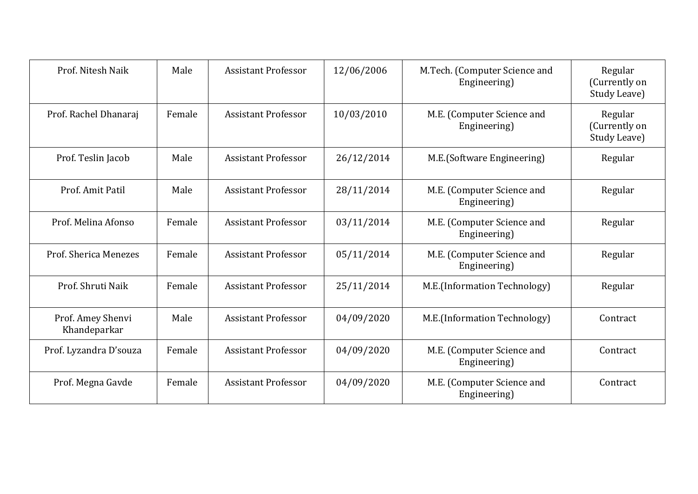| Prof. Nitesh Naik                 | Male   | <b>Assistant Professor</b> | 12/06/2006 | M.Tech. (Computer Science and<br>Engineering) | Regular<br>(Currently on<br>Study Leave) |
|-----------------------------------|--------|----------------------------|------------|-----------------------------------------------|------------------------------------------|
| Prof. Rachel Dhanaraj             | Female | <b>Assistant Professor</b> | 10/03/2010 | M.E. (Computer Science and<br>Engineering)    | Regular<br>(Currently on<br>Study Leave) |
| Prof. Teslin Jacob                | Male   | <b>Assistant Professor</b> | 26/12/2014 | M.E.(Software Engineering)                    | Regular                                  |
| Prof. Amit Patil                  | Male   | <b>Assistant Professor</b> | 28/11/2014 | M.E. (Computer Science and<br>Engineering)    | Regular                                  |
| Prof. Melina Afonso               | Female | <b>Assistant Professor</b> | 03/11/2014 | M.E. (Computer Science and<br>Engineering)    | Regular                                  |
| Prof. Sherica Menezes             | Female | <b>Assistant Professor</b> | 05/11/2014 | M.E. (Computer Science and<br>Engineering)    | Regular                                  |
| Prof. Shruti Naik                 | Female | <b>Assistant Professor</b> | 25/11/2014 | M.E.(Information Technology)                  | Regular                                  |
| Prof. Amey Shenvi<br>Khandeparkar | Male   | <b>Assistant Professor</b> | 04/09/2020 | M.E.(Information Technology)                  | Contract                                 |
| Prof. Lyzandra D'souza            | Female | <b>Assistant Professor</b> | 04/09/2020 | M.E. (Computer Science and<br>Engineering)    | Contract                                 |
| Prof. Megna Gavde                 | Female | <b>Assistant Professor</b> | 04/09/2020 | M.E. (Computer Science and<br>Engineering)    | Contract                                 |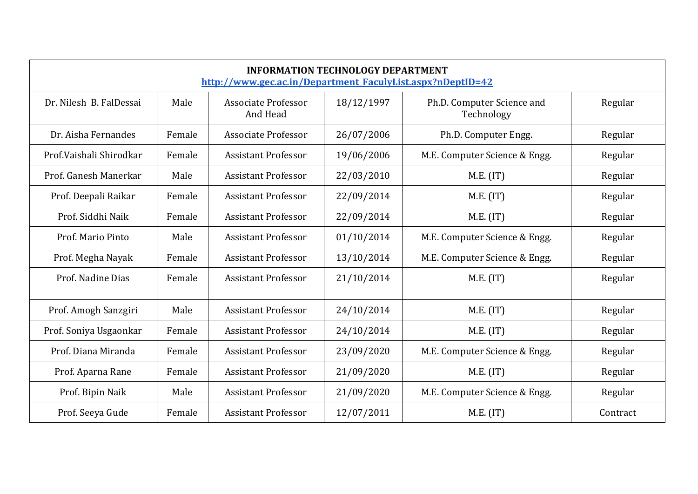| <b>INFORMATION TECHNOLOGY DEPARTMENT</b><br>http://www.gec.ac.in/Department_FaculyList.aspx?nDeptID=42 |        |                                        |            |                                          |          |  |
|--------------------------------------------------------------------------------------------------------|--------|----------------------------------------|------------|------------------------------------------|----------|--|
| Dr. Nilesh B. FalDessai                                                                                | Male   | <b>Associate Professor</b><br>And Head | 18/12/1997 | Ph.D. Computer Science and<br>Technology | Regular  |  |
| Dr. Aisha Fernandes                                                                                    | Female | <b>Associate Professor</b>             | 26/07/2006 | Ph.D. Computer Engg.                     | Regular  |  |
| Prof. Vaishali Shirodkar                                                                               | Female | <b>Assistant Professor</b>             | 19/06/2006 | M.E. Computer Science & Engg.            | Regular  |  |
| Prof. Ganesh Manerkar                                                                                  | Male   | <b>Assistant Professor</b>             | 22/03/2010 | M.E. (IT)                                | Regular  |  |
| Prof. Deepali Raikar                                                                                   | Female | <b>Assistant Professor</b>             | 22/09/2014 | M.E. (IT)                                | Regular  |  |
| Prof. Siddhi Naik                                                                                      | Female | <b>Assistant Professor</b>             | 22/09/2014 | M.E. (IT)                                | Regular  |  |
| Prof. Mario Pinto                                                                                      | Male   | <b>Assistant Professor</b>             | 01/10/2014 | M.E. Computer Science & Engg.            | Regular  |  |
| Prof. Megha Nayak                                                                                      | Female | <b>Assistant Professor</b>             | 13/10/2014 | M.E. Computer Science & Engg.            | Regular  |  |
| Prof. Nadine Dias                                                                                      | Female | <b>Assistant Professor</b>             | 21/10/2014 | M.E. (IT)                                | Regular  |  |
| Prof. Amogh Sanzgiri                                                                                   | Male   | <b>Assistant Professor</b>             | 24/10/2014 | M.E. (IT)                                | Regular  |  |
| Prof. Soniya Usgaonkar                                                                                 | Female | <b>Assistant Professor</b>             | 24/10/2014 | M.E. (IT)                                | Regular  |  |
| Prof. Diana Miranda                                                                                    | Female | <b>Assistant Professor</b>             | 23/09/2020 | M.E. Computer Science & Engg.            | Regular  |  |
| Prof. Aparna Rane                                                                                      | Female | <b>Assistant Professor</b>             | 21/09/2020 | M.E. (IT)                                | Regular  |  |
| Prof. Bipin Naik                                                                                       | Male   | <b>Assistant Professor</b>             | 21/09/2020 | M.E. Computer Science & Engg.            | Regular  |  |
| Prof. Seeya Gude                                                                                       | Female | <b>Assistant Professor</b>             | 12/07/2011 | M.E. (IT)                                | Contract |  |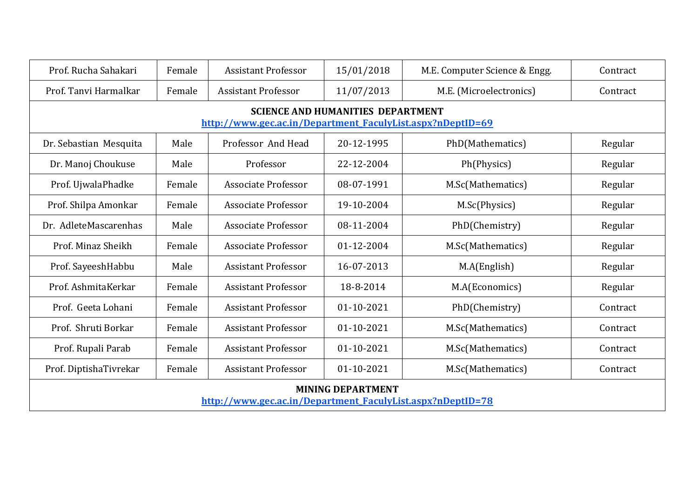| Prof. Rucha Sahakari                                                                                   | Female | <b>Assistant Professor</b> | 15/01/2018 | M.E. Computer Science & Engg. | Contract |  |  |  |
|--------------------------------------------------------------------------------------------------------|--------|----------------------------|------------|-------------------------------|----------|--|--|--|
| Prof. Tanvi Harmalkar                                                                                  | Female | <b>Assistant Professor</b> | 11/07/2013 | M.E. (Microelectronics)       | Contract |  |  |  |
| <b>SCIENCE AND HUMANITIES DEPARTMENT</b><br>http://www.gec.ac.in/Department FaculyList.aspx?nDeptID=69 |        |                            |            |                               |          |  |  |  |
| Dr. Sebastian Mesquita                                                                                 | Male   | Professor And Head         | 20-12-1995 | PhD(Mathematics)              | Regular  |  |  |  |
| Dr. Manoj Choukuse                                                                                     | Male   | Professor                  | 22-12-2004 | Ph(Physics)                   | Regular  |  |  |  |
| Prof. UjwalaPhadke                                                                                     | Female | <b>Associate Professor</b> | 08-07-1991 | M.Sc(Mathematics)             | Regular  |  |  |  |
| Prof. Shilpa Amonkar                                                                                   | Female | <b>Associate Professor</b> | 19-10-2004 | M.Sc(Physics)                 | Regular  |  |  |  |
| Dr. AdleteMascarenhas                                                                                  | Male   | <b>Associate Professor</b> | 08-11-2004 | PhD(Chemistry)                | Regular  |  |  |  |
| Prof. Minaz Sheikh                                                                                     | Female | <b>Associate Professor</b> | 01-12-2004 | M.Sc(Mathematics)             | Regular  |  |  |  |
| Prof. SayeeshHabbu                                                                                     | Male   | <b>Assistant Professor</b> | 16-07-2013 | M.A(English)                  | Regular  |  |  |  |
| Prof. AshmitaKerkar                                                                                    | Female | <b>Assistant Professor</b> | 18-8-2014  | M.A(Economics)                | Regular  |  |  |  |
| Prof. Geeta Lohani                                                                                     | Female | <b>Assistant Professor</b> | 01-10-2021 | PhD(Chemistry)                | Contract |  |  |  |
| Prof. Shruti Borkar                                                                                    | Female | <b>Assistant Professor</b> | 01-10-2021 | M.Sc(Mathematics)             | Contract |  |  |  |
| Prof. Rupali Parab                                                                                     | Female | <b>Assistant Professor</b> | 01-10-2021 | M.Sc(Mathematics)             | Contract |  |  |  |
| Prof. DiptishaTivrekar                                                                                 | Female | <b>Assistant Professor</b> | 01-10-2021 | M.Sc(Mathematics)             | Contract |  |  |  |
| <b>MINING DEPARTMENT</b><br>http://www.gec.ac.in/Department_FaculyList.aspx?nDeptID=78                 |        |                            |            |                               |          |  |  |  |